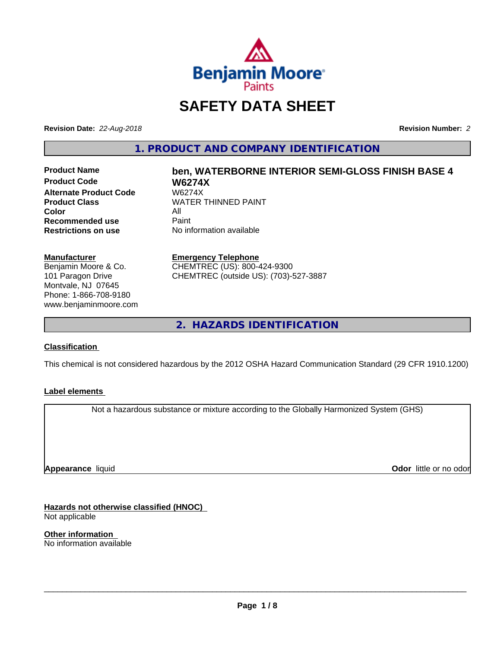

## **SAFETY DATA SHEET**

**Revision Date:** *22-Aug-2018* **Revision Number:** *2*

**1. PRODUCT AND COMPANY IDENTIFICATION**

**Product Code W6274X Alternate Product Code W6274X**<br>**Product Class WATER Color** All<br> **Recommended use** Paint **Recommended use**<br>Restrictions on use

# **Product Name ben, WATERBORNE INTERIOR SEMI-GLOSS FINISH BASE 4 WATER THINNED PAINT**

**No information available** 

#### **Manufacturer**

Benjamin Moore & Co. 101 Paragon Drive Montvale, NJ 07645 Phone: 1-866-708-9180 www.benjaminmoore.com

#### **Emergency Telephone**

CHEMTREC (US): 800-424-9300 CHEMTREC (outside US): (703)-527-3887

**2. HAZARDS IDENTIFICATION**

#### **Classification**

This chemical is not considered hazardous by the 2012 OSHA Hazard Communication Standard (29 CFR 1910.1200)

#### **Label elements**

Not a hazardous substance or mixture according to the Globally Harmonized System (GHS)

**Appearance** liquid

**Odor** little or no odor

**Hazards not otherwise classified (HNOC)** Not applicable

**Other information** No information available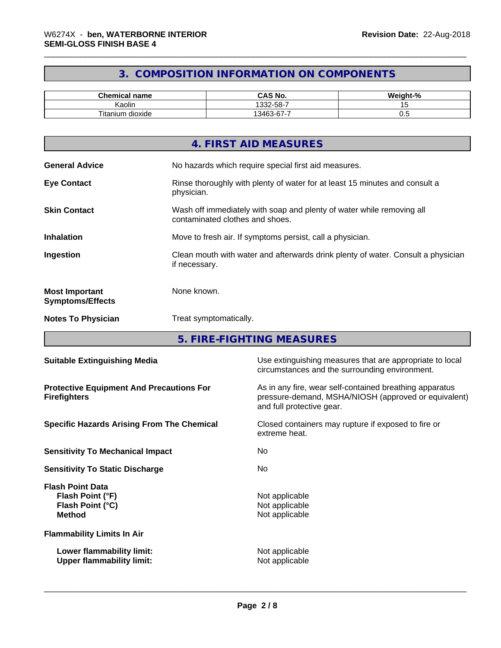#### **3. COMPOSITION INFORMATION ON COMPONENTS**

| Chemical<br>name                | CAS No.                    | <br>$\sim$<br>''-veight."<br>-70 |
|---------------------------------|----------------------------|----------------------------------|
| . .<br>. .<br>Kaolin            | . ა32-58-7                 |                                  |
| --<br>dioxide<br>⊺ıtan<br>…um r | --<br>$\sim$<br>13462<br>v | v.J                              |

|                                                  | 4. FIRST AID MEASURES                                                                                    |
|--------------------------------------------------|----------------------------------------------------------------------------------------------------------|
| <b>General Advice</b>                            | No hazards which require special first aid measures.                                                     |
| <b>Eye Contact</b>                               | Rinse thoroughly with plenty of water for at least 15 minutes and consult a<br>physician.                |
| <b>Skin Contact</b>                              | Wash off immediately with soap and plenty of water while removing all<br>contaminated clothes and shoes. |
| <b>Inhalation</b>                                | Move to fresh air. If symptoms persist, call a physician.                                                |
| Ingestion                                        | Clean mouth with water and afterwards drink plenty of water. Consult a physician<br>if necessary.        |
| <b>Most Important</b><br><b>Symptoms/Effects</b> | None known.                                                                                              |
| <b>Notes To Physician</b>                        | Treat symptomatically.                                                                                   |
|                                                  |                                                                                                          |

**5. FIRE-FIGHTING MEASURES**

| <b>Suitable Extinguishing Media</b>                                              | Use extinguishing measures that are appropriate to local<br>circumstances and the surrounding environment.                                   |
|----------------------------------------------------------------------------------|----------------------------------------------------------------------------------------------------------------------------------------------|
| <b>Protective Equipment And Precautions For</b><br><b>Firefighters</b>           | As in any fire, wear self-contained breathing apparatus<br>pressure-demand, MSHA/NIOSH (approved or equivalent)<br>and full protective gear. |
| <b>Specific Hazards Arising From The Chemical</b>                                | Closed containers may rupture if exposed to fire or<br>extreme heat.                                                                         |
| <b>Sensitivity To Mechanical Impact</b>                                          | No.                                                                                                                                          |
| <b>Sensitivity To Static Discharge</b>                                           | No.                                                                                                                                          |
| <b>Flash Point Data</b><br>Flash Point (°F)<br>Flash Point (°C)<br><b>Method</b> | Not applicable<br>Not applicable<br>Not applicable                                                                                           |
| <b>Flammability Limits In Air</b>                                                |                                                                                                                                              |
| Lower flammability limit:<br><b>Upper flammability limit:</b>                    | Not applicable<br>Not applicable                                                                                                             |
|                                                                                  |                                                                                                                                              |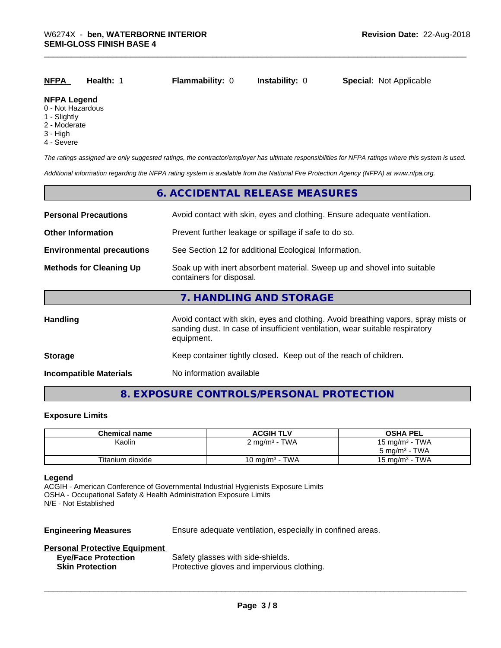|--|

#### **NFPA Legend**

- 0 Not Hazardous
- 1 Slightly
- 2 Moderate
- 3 High
- 4 Severe

*The ratings assigned are only suggested ratings, the contractor/employer has ultimate responsibilities for NFPA ratings where this system is used.*

*Additional information regarding the NFPA rating system is available from the National Fire Protection Agency (NFPA) at www.nfpa.org.*

#### **6. ACCIDENTAL RELEASE MEASURES**

| <b>Personal Precautions</b>      | Avoid contact with skin, eyes and clothing. Ensure adequate ventilation.                                                                                                         |  |
|----------------------------------|----------------------------------------------------------------------------------------------------------------------------------------------------------------------------------|--|
| <b>Other Information</b>         | Prevent further leakage or spillage if safe to do so.                                                                                                                            |  |
| <b>Environmental precautions</b> | See Section 12 for additional Ecological Information.                                                                                                                            |  |
| <b>Methods for Cleaning Up</b>   | Soak up with inert absorbent material. Sweep up and shovel into suitable<br>containers for disposal.                                                                             |  |
|                                  | 7. HANDLING AND STORAGE                                                                                                                                                          |  |
| <b>Handling</b>                  | Avoid contact with skin, eyes and clothing. Avoid breathing vapors, spray mists or<br>sanding dust. In case of insufficient ventilation, wear suitable respiratory<br>equipment. |  |
| <b>Storage</b>                   | Keep container tightly closed. Keep out of the reach of children.                                                                                                                |  |
| <b>Incompatible Materials</b>    | No information available                                                                                                                                                         |  |

#### **8. EXPOSURE CONTROLS/PERSONAL PROTECTION**

#### **Exposure Limits**

| <b>Chemical name</b> | <b>ACGIH TLV</b>                | <b>OSHA PEL</b>            |
|----------------------|---------------------------------|----------------------------|
| Kaolin               | $2 \text{ mg/m}^3$ - TWA        | 15 mg/m $3$ - TWA          |
|                      |                                 | $5 \text{ ma/m}^3$ - TWA   |
| Titanium dioxide     | - TWA<br>10 mg/m <sup>3</sup> - | - TWA<br>15 mg/m $3 \cdot$ |

#### **Legend**

ACGIH - American Conference of Governmental Industrial Hygienists Exposure Limits OSHA - Occupational Safety & Health Administration Exposure Limits N/E - Not Established

**Engineering Measures** Ensure adequate ventilation, especially in confined areas.

 $\overline{\phantom{a}}$  ,  $\overline{\phantom{a}}$  ,  $\overline{\phantom{a}}$  ,  $\overline{\phantom{a}}$  ,  $\overline{\phantom{a}}$  ,  $\overline{\phantom{a}}$  ,  $\overline{\phantom{a}}$  ,  $\overline{\phantom{a}}$  ,  $\overline{\phantom{a}}$  ,  $\overline{\phantom{a}}$  ,  $\overline{\phantom{a}}$  ,  $\overline{\phantom{a}}$  ,  $\overline{\phantom{a}}$  ,  $\overline{\phantom{a}}$  ,  $\overline{\phantom{a}}$  ,  $\overline{\phantom{a}}$ 

#### **Personal Protective Equipment**

| <b>Eye/Face Protection</b> | Safety glasses with side-shields.          |
|----------------------------|--------------------------------------------|
| <b>Skin Protection</b>     | Protective gloves and impervious clothing. |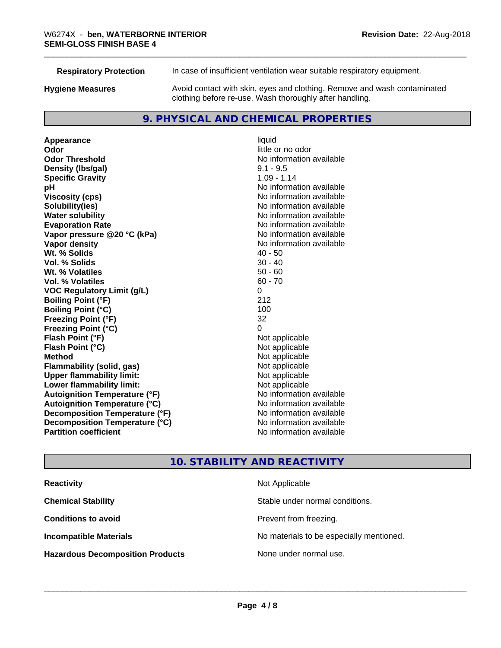| <b>Respiratory Protection</b> | In case of insufficient ventilation wear suitable respiratory equipment.                                                            |  |
|-------------------------------|-------------------------------------------------------------------------------------------------------------------------------------|--|
| <b>Hygiene Measures</b>       | Avoid contact with skin, eyes and clothing. Remove and wash contaminated<br>clothing before re-use. Wash thoroughly after handling. |  |
|                               |                                                                                                                                     |  |

#### **9. PHYSICAL AND CHEMICAL PROPERTIES**

**Appearance** liquid<br> **Appearance** liquid<br> **Odor Odor Odor** little or no odor<br> **Odor Threshold Containery of the Containery of the Containery of the Containery of the Containery of the Containery of the Containery of the Containery of the Containery of the Container Density (lbs/gal)** 9.1 - 9.5 **Specific Gravity** 1.09 - 1.14 **pH** No information available **Viscosity (cps)** No information available **Solubility(ies)**<br> **Solubility**<br> **Water solubility**<br> **Water solubility Evaporation Rate No information available No information available Vapor pressure @20 °C (kPa)** No information available **Vapor density No information available No** information available **Wt. % Solids** 40 - 50 **Vol. % Solids** 30 - 40<br> **Wt. % Volatiles** 30 - 40 **Wt. % Volatiles Vol. % Volatiles** 60 - 70 **VOC Regulatory Limit (g/L)** 0 **Boiling Point (°F)** 212 **Boiling Point (°C)** 100 **Freezing Point (°F)** 32 **Freezing Point (°C)**<br> **Flash Point (°F)**<br> **Flash Point (°F)**<br> **Point (°F)**<br> **Point (°F)**<br> **Point (°F)**<br> **Point (°F) Flash Point (°F)**<br> **Flash Point (°C)**<br> **Flash Point (°C)**<br> **C Flash Point (°C) Method**<br> **Flammability (solid, gas)**<br> **Example 2018** Not applicable **Flammability (solid, gas)** Not applicable<br> **Upper flammability limit:** Not applicable **Upper flammability limit: Lower flammability limit:**<br> **Autoignition Temperature (°F)** Not applicable havailable available **Autoignition Temperature (°F) Autoignition Temperature (°C)** No information available **Decomposition Temperature (°F)** No information available **Decomposition Temperature (°C)** No information available **Partition coefficient Contract Contract Contract Contract Contract Contract Contract Contract Contract Contract Contract Contract Contract Contract Contract Contract Contract Contract Contract Contract Contract Contract** 

**No information available No information available** 

#### **10. STABILITY AND REACTIVITY**

| <b>Reactivity</b>                       | Not Applicable                           |
|-----------------------------------------|------------------------------------------|
| <b>Chemical Stability</b>               | Stable under normal conditions.          |
| <b>Conditions to avoid</b>              | Prevent from freezing.                   |
| <b>Incompatible Materials</b>           | No materials to be especially mentioned. |
| <b>Hazardous Decomposition Products</b> | None under normal use.                   |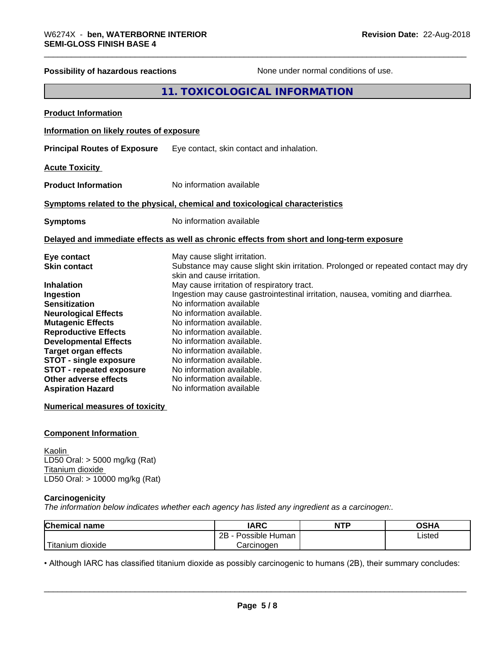### **Possibility of hazardous reactions** None under normal conditions of use. **11. TOXICOLOGICAL INFORMATION Product Information Information on likely routes of exposure Principal Routes of Exposure** Eye contact, skin contact and inhalation. **Acute Toxicity Product Information** No information available **Symptoms related to the physical,chemical and toxicological characteristics Symptoms** No information available **Delayed and immediate effects as well as chronic effects from short and long-term exposure Eye contact** May cause slight irritation. **Skin contact** Substance may cause slight skin irritation. Prolonged or repeated contact may dry skin and cause irritation. **Inhalation** May cause irritation of respiratory tract. **Ingestion Ingestion may cause gastrointestinal irritation**, nausea, vomiting and diarrhea. **Sensitization** No information available **Neurological Effects** No information available. **Mutagenic Effects** No information available. **Reproductive Effects** No information available. **Developmental Effects** No information available.<br> **Target organ effects** No information available. **Target organ effects** No information available.<br> **STOT - single exposure** No information available. **STOT** - single exposure **STOT** - **repeated exposure** No information available. **Other adverse effects** No information available. **Aspiration Hazard** No information available **Numerical measures of toxicity**

#### **Component Information**

Kaolin LD50 Oral: > 5000 mg/kg (Rat) Titanium dioxide LD50 Oral: > 10000 mg/kg (Rat)

#### **Carcinogenicity**

*The information below indicateswhether each agency has listed any ingredient as a carcinogen:.*

| <b>Chemical</b><br>name         | <b>IARC</b>                      | <b>NTP</b> | <b>OSHA</b> |
|---------------------------------|----------------------------------|------------|-------------|
|                                 | . .<br>2B<br>Possible<br>: Human |            | Listed<br>. |
| $-1$<br><br>dioxide<br>⊺itanium | Carcinogen                       |            |             |

• Although IARC has classified titanium dioxide as possibly carcinogenic to humans (2B), their summary concludes:<br> **Page 5/8**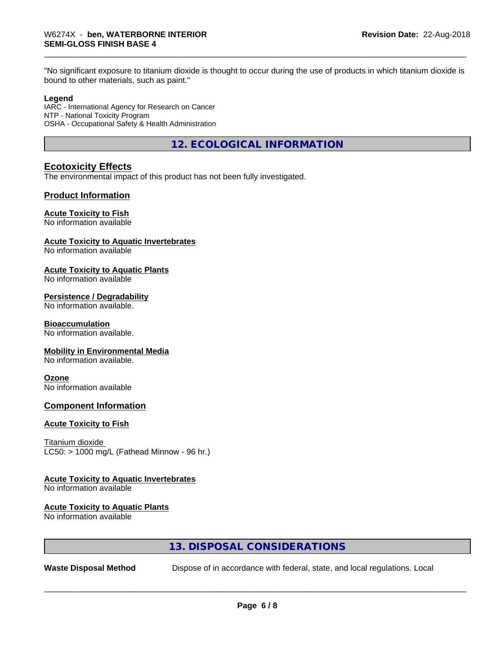"No significant exposure to titanium dioxide is thought to occur during the use of products in which titanium dioxide is bound to other materials, such as paint."

#### **Legend**

IARC - International Agency for Research on Cancer NTP - National Toxicity Program OSHA - Occupational Safety & Health Administration

**12. ECOLOGICAL INFORMATION**

#### **Ecotoxicity Effects**

The environmental impact of this product has not been fully investigated.

#### **Product Information**

#### **Acute Toxicity to Fish**

No information available

#### **Acute Toxicity to Aquatic Invertebrates**

No information available

#### **Acute Toxicity to Aquatic Plants**

No information available

#### **Persistence / Degradability**

No information available.

#### **Bioaccumulation**

No information available.

#### **Mobility in Environmental Media**

No information available.

#### **Ozone**

No information available

#### **Component Information**

#### **Acute Toxicity to Fish**

Titanium dioxide  $LC50:$  > 1000 mg/L (Fathead Minnow - 96 hr.)

#### **Acute Toxicity to Aquatic Invertebrates**

No information available

#### **Acute Toxicity to Aquatic Plants**

No information available

#### **13. DISPOSAL CONSIDERATIONS**

**Waste Disposal Method** Dispose of in accordance with federal, state, and local regulations. Local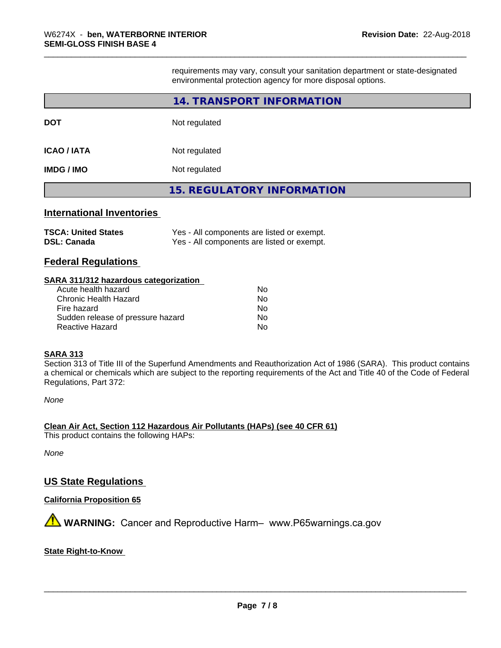requirements may vary, consult your sanitation department or state-designated environmental protection agency for more disposal options.

|                    | 14. TRANSPORT INFORMATION  |
|--------------------|----------------------------|
| <b>DOT</b>         | Not regulated              |
| <b>ICAO / IATA</b> | Not regulated              |
| <b>IMDG / IMO</b>  | Not regulated              |
|                    | 15. REGULATORY INFORMATION |
|                    |                            |

#### **International Inventories**

| <b>TSCA: United States</b> | Yes - All components are listed or exempt. |
|----------------------------|--------------------------------------------|
| <b>DSL: Canada</b>         | Yes - All components are listed or exempt. |

#### **Federal Regulations**

#### **SARA 311/312 hazardous categorization**

| Acute health hazard               | N٥ |
|-----------------------------------|----|
| Chronic Health Hazard             | N٥ |
| Fire hazard                       | Nο |
| Sudden release of pressure hazard | Nο |
| Reactive Hazard                   | N٥ |

#### **SARA 313**

Section 313 of Title III of the Superfund Amendments and Reauthorization Act of 1986 (SARA). This product contains a chemical or chemicals which are subject to the reporting requirements of the Act and Title 40 of the Code of Federal Regulations, Part 372:

*None*

**Clean Air Act,Section 112 Hazardous Air Pollutants (HAPs) (see 40 CFR 61)** This product contains the following HAPs:

*None*

#### **US State Regulations**

#### **California Proposition 65**

**A** WARNING: Cancer and Reproductive Harm– www.P65warnings.ca.gov

#### **State Right-to-Know**